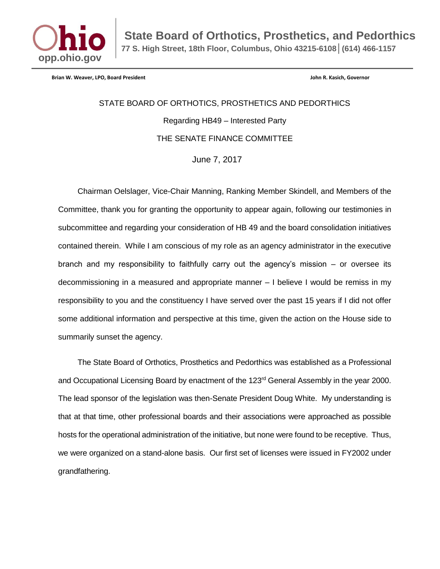

**State Board of Orthotics, Prosthetics, and Pedorthics 77 S. High Street, 18th Floor, Columbus, Ohio 43215-6108│(614) 466-1157**

**Brian W. Weaver, LPO, Board President John R. Kasich, Governor**

STATE BOARD OF ORTHOTICS, PROSTHETICS AND PEDORTHICS Regarding HB49 – Interested Party THE SENATE FINANCE COMMITTEE

June 7, 2017

Chairman Oelslager, Vice-Chair Manning, Ranking Member Skindell, and Members of the Committee, thank you for granting the opportunity to appear again, following our testimonies in subcommittee and regarding your consideration of HB 49 and the board consolidation initiatives contained therein. While I am conscious of my role as an agency administrator in the executive branch and my responsibility to faithfully carry out the agency's mission – or oversee its decommissioning in a measured and appropriate manner – I believe I would be remiss in my responsibility to you and the constituency I have served over the past 15 years if I did not offer some additional information and perspective at this time, given the action on the House side to summarily sunset the agency.

The State Board of Orthotics, Prosthetics and Pedorthics was established as a Professional and Occupational Licensing Board by enactment of the 123<sup>rd</sup> General Assembly in the year 2000. The lead sponsor of the legislation was then-Senate President Doug White. My understanding is that at that time, other professional boards and their associations were approached as possible hosts for the operational administration of the initiative, but none were found to be receptive. Thus, we were organized on a stand-alone basis. Our first set of licenses were issued in FY2002 under grandfathering.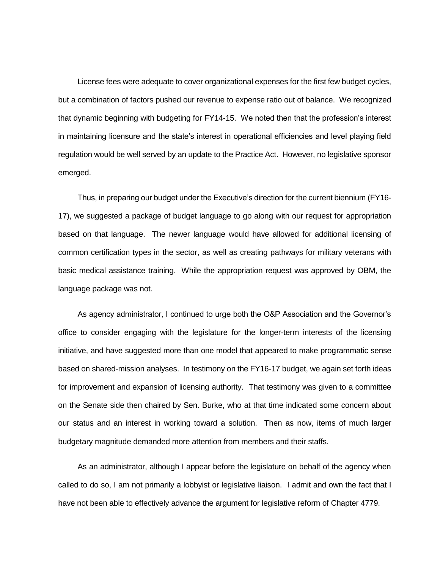License fees were adequate to cover organizational expenses for the first few budget cycles, but a combination of factors pushed our revenue to expense ratio out of balance. We recognized that dynamic beginning with budgeting for FY14-15. We noted then that the profession's interest in maintaining licensure and the state's interest in operational efficiencies and level playing field regulation would be well served by an update to the Practice Act. However, no legislative sponsor emerged.

Thus, in preparing our budget under the Executive's direction for the current biennium (FY16- 17), we suggested a package of budget language to go along with our request for appropriation based on that language. The newer language would have allowed for additional licensing of common certification types in the sector, as well as creating pathways for military veterans with basic medical assistance training. While the appropriation request was approved by OBM, the language package was not.

As agency administrator, I continued to urge both the O&P Association and the Governor's office to consider engaging with the legislature for the longer-term interests of the licensing initiative, and have suggested more than one model that appeared to make programmatic sense based on shared-mission analyses. In testimony on the FY16-17 budget, we again set forth ideas for improvement and expansion of licensing authority. That testimony was given to a committee on the Senate side then chaired by Sen. Burke, who at that time indicated some concern about our status and an interest in working toward a solution. Then as now, items of much larger budgetary magnitude demanded more attention from members and their staffs.

As an administrator, although I appear before the legislature on behalf of the agency when called to do so, I am not primarily a lobbyist or legislative liaison. I admit and own the fact that I have not been able to effectively advance the argument for legislative reform of Chapter 4779.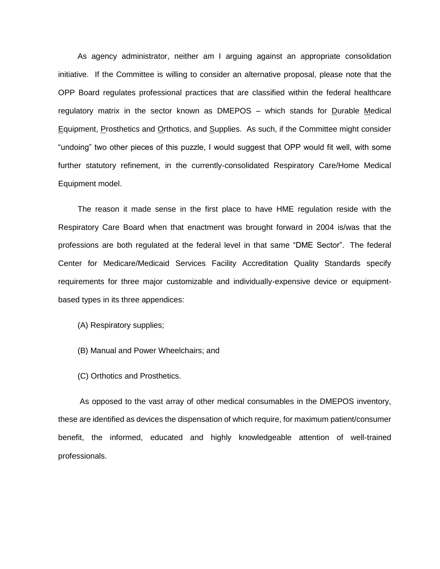As agency administrator, neither am I arguing against an appropriate consolidation initiative. If the Committee is willing to consider an alternative proposal, please note that the OPP Board regulates professional practices that are classified within the federal healthcare regulatory matrix in the sector known as DMEPOS – which stands for Durable Medical Equipment, Prosthetics and Orthotics, and Supplies. As such, if the Committee might consider "undoing" two other pieces of this puzzle, I would suggest that OPP would fit well, with some further statutory refinement, in the currently-consolidated Respiratory Care/Home Medical Equipment model.

The reason it made sense in the first place to have HME regulation reside with the Respiratory Care Board when that enactment was brought forward in 2004 is/was that the professions are both regulated at the federal level in that same "DME Sector". The federal Center for Medicare/Medicaid Services Facility Accreditation Quality Standards specify requirements for three major customizable and individually-expensive device or equipmentbased types in its three appendices:

- (A) Respiratory supplies;
- (B) Manual and Power Wheelchairs; and
- (C) Orthotics and Prosthetics.

As opposed to the vast array of other medical consumables in the DMEPOS inventory, these are identified as devices the dispensation of which require, for maximum patient/consumer benefit, the informed, educated and highly knowledgeable attention of well-trained professionals.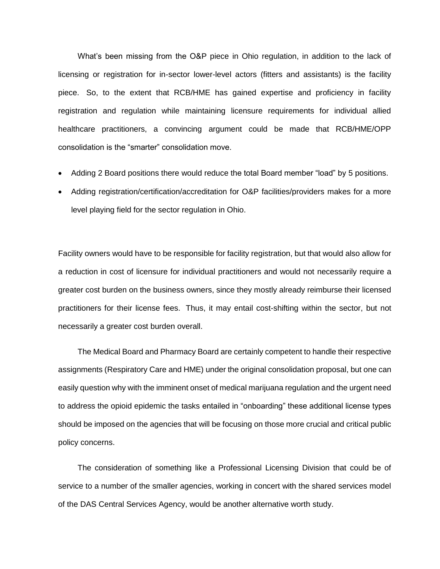What's been missing from the O&P piece in Ohio regulation, in addition to the lack of licensing or registration for in-sector lower-level actors (fitters and assistants) is the facility piece. So, to the extent that RCB/HME has gained expertise and proficiency in facility registration and regulation while maintaining licensure requirements for individual allied healthcare practitioners, a convincing argument could be made that RCB/HME/OPP consolidation is the "smarter" consolidation move.

- Adding 2 Board positions there would reduce the total Board member "load" by 5 positions.
- Adding registration/certification/accreditation for O&P facilities/providers makes for a more level playing field for the sector regulation in Ohio.

Facility owners would have to be responsible for facility registration, but that would also allow for a reduction in cost of licensure for individual practitioners and would not necessarily require a greater cost burden on the business owners, since they mostly already reimburse their licensed practitioners for their license fees. Thus, it may entail cost-shifting within the sector, but not necessarily a greater cost burden overall.

The Medical Board and Pharmacy Board are certainly competent to handle their respective assignments (Respiratory Care and HME) under the original consolidation proposal, but one can easily question why with the imminent onset of medical marijuana regulation and the urgent need to address the opioid epidemic the tasks entailed in "onboarding" these additional license types should be imposed on the agencies that will be focusing on those more crucial and critical public policy concerns.

The consideration of something like a Professional Licensing Division that could be of service to a number of the smaller agencies, working in concert with the shared services model of the DAS Central Services Agency, would be another alternative worth study.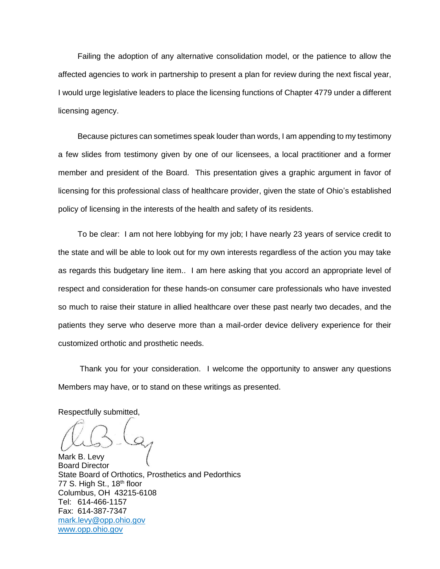Failing the adoption of any alternative consolidation model, or the patience to allow the affected agencies to work in partnership to present a plan for review during the next fiscal year, I would urge legislative leaders to place the licensing functions of Chapter 4779 under a different licensing agency.

Because pictures can sometimes speak louder than words, I am appending to my testimony a few slides from testimony given by one of our licensees, a local practitioner and a former member and president of the Board. This presentation gives a graphic argument in favor of licensing for this professional class of healthcare provider, given the state of Ohio's established policy of licensing in the interests of the health and safety of its residents.

To be clear: I am not here lobbying for my job; I have nearly 23 years of service credit to the state and will be able to look out for my own interests regardless of the action you may take as regards this budgetary line item.. I am here asking that you accord an appropriate level of respect and consideration for these hands-on consumer care professionals who have invested so much to raise their stature in allied healthcare over these past nearly two decades, and the patients they serve who deserve more than a mail-order device delivery experience for their customized orthotic and prosthetic needs.

Thank you for your consideration. I welcome the opportunity to answer any questions Members may have, or to stand on these writings as presented.

Respectfully submitted,

Mark B. Levy Board Director State Board of Orthotics, Prosthetics and Pedorthics 77 S. High St.,  $18<sup>th</sup>$  floor Columbus, OH 43215-6108 Tel: 614-466-1157 Fax: 614-387-7347 [mark.levy@opp.ohio.gov](mailto:bopp@exchange.state.oh.us) [www.opp.ohio.gov](http://www.opp.ohio.gov/)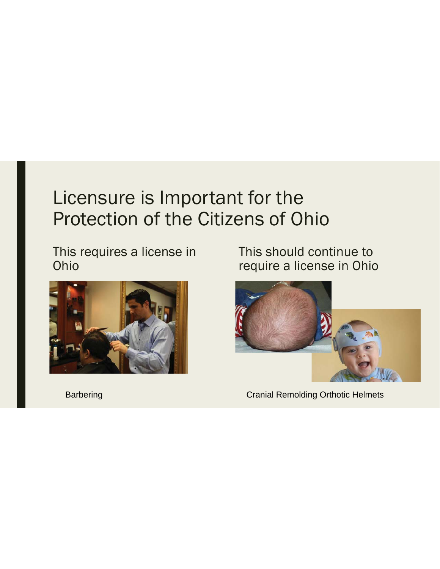This requires a license in Ohio



This should continue to require a license in Ohio



Barbering **Cranial Remolding Orthotic Helmets**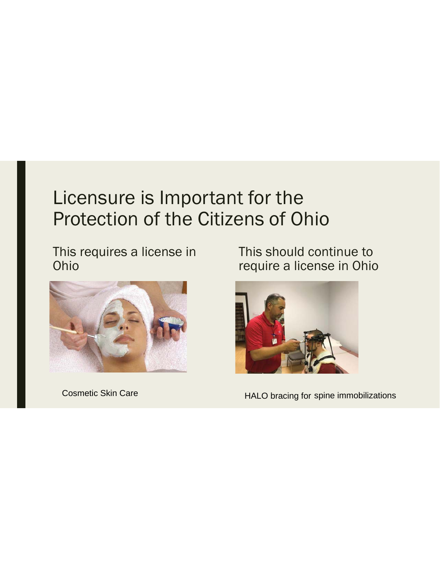This requires a license in Ohio



This should continue to require a license in Ohio



Cosmetic Skin Care **Example 20** HALO bracing for spine immobilizations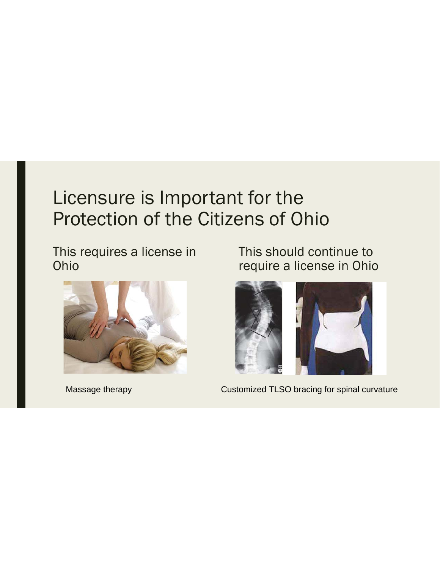This requires a license in Ohio



This should continue to require a license in Ohio



Massage therapy **Customized TLSO bracing for spinal curvature**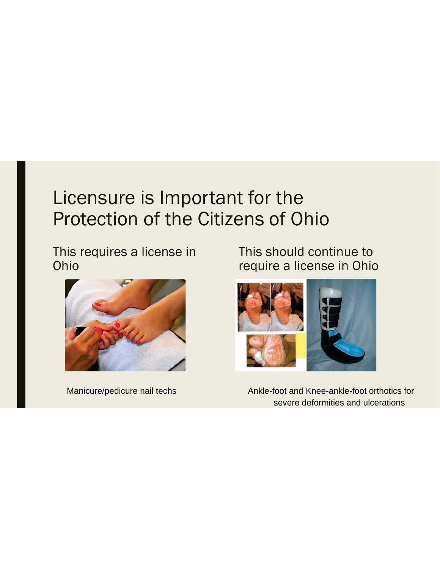This requires a license in Ohio



This should continue to require a license in Ohio



Manicure/pedicure nail techs Ankle-foot and Knee-ankle-foot orthotics for severe deformities and ulcerations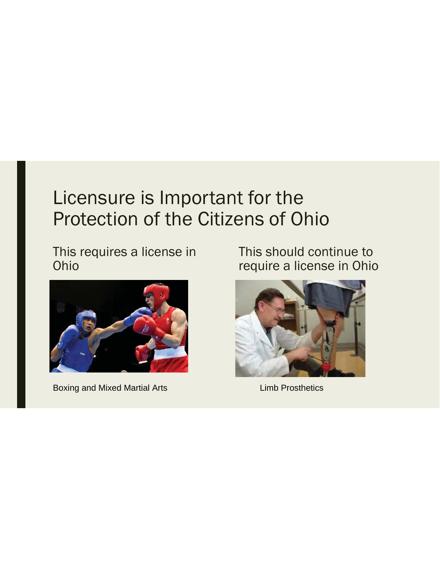This requires a license in Ohio



Boxing and Mixed Martial Arts **Limb Prosthetics** 

This should continue to require a license in Ohio

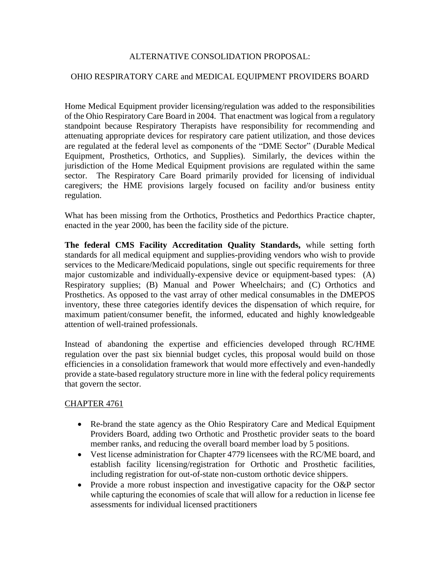#### ALTERNATIVE CONSOLIDATION PROPOSAL:

#### OHIO RESPIRATORY CARE and MEDICAL EQUIPMENT PROVIDERS BOARD

Home Medical Equipment provider licensing/regulation was added to the responsibilities of the Ohio Respiratory Care Board in 2004. That enactment was logical from a regulatory standpoint because Respiratory Therapists have responsibility for recommending and attenuating appropriate devices for respiratory care patient utilization, and those devices are regulated at the federal level as components of the "DME Sector" (Durable Medical Equipment, Prosthetics, Orthotics, and Supplies). Similarly, the devices within the jurisdiction of the Home Medical Equipment provisions are regulated within the same sector. The Respiratory Care Board primarily provided for licensing of individual caregivers; the HME provisions largely focused on facility and/or business entity regulation.

What has been missing from the Orthotics, Prosthetics and Pedorthics Practice chapter, enacted in the year 2000, has been the facility side of the picture.

**The federal CMS Facility Accreditation Quality Standards,** while setting forth standards for all medical equipment and supplies-providing vendors who wish to provide services to the Medicare/Medicaid populations, single out specific requirements for three major customizable and individually-expensive device or equipment-based types: (A) Respiratory supplies; (B) Manual and Power Wheelchairs; and (C) Orthotics and Prosthetics. As opposed to the vast array of other medical consumables in the DMEPOS inventory, these three categories identify devices the dispensation of which require, for maximum patient/consumer benefit, the informed, educated and highly knowledgeable attention of well-trained professionals.

Instead of abandoning the expertise and efficiencies developed through RC/HME regulation over the past six biennial budget cycles, this proposal would build on those efficiencies in a consolidation framework that would more effectively and even-handedly provide a state-based regulatory structure more in line with the federal policy requirements that govern the sector.

#### CHAPTER 4761

- Re-brand the state agency as the Ohio Respiratory Care and Medical Equipment Providers Board, adding two Orthotic and Prosthetic provider seats to the board member ranks, and reducing the overall board member load by 5 positions.
- Vest license administration for Chapter 4779 licensees with the RC/ME board, and establish facility licensing/registration for Orthotic and Prosthetic facilities, including registration for out-of-state non-custom orthotic device shippers.
- Provide a more robust inspection and investigative capacity for the O&P sector while capturing the economies of scale that will allow for a reduction in license fee assessments for individual licensed practitioners